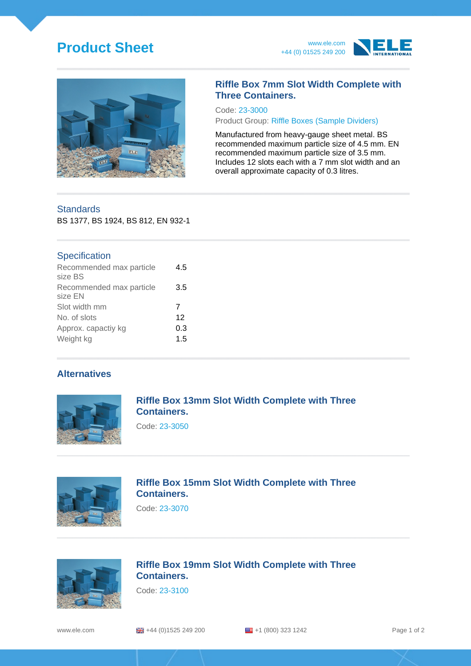# **Product Sheet** www.ele.com





#### **Riffle Box 7mm Slot Width Complete with Three Containers.**

Code: 23-3000

Product Group: Riffle Boxes (Sample Dividers)

Manufactured from heavy-gauge sheet metal. BS recommended maximum particle size of 4.5 mm. EN recommended maximum particle size of 3.5 mm. Includes 12 slots each with a 7 mm slot width and an overall approximate capacity of 0.3 litres.

## **Standards**

BS 1377, BS 1924, BS 812, EN 932-1

#### **Specification**

| Recommended max particle<br>size BS | 4.5 |
|-------------------------------------|-----|
| Recommended max particle<br>size EN | 3.5 |
| Slot width mm                       | 7   |
| No. of slots                        | 12  |
| Approx. capactiy kg                 | 0.3 |
| Weight kg                           | 1.5 |

#### **Alternatives**



#### **Riffle Box 13mm Slot Width Complete with Three Containers.**

Code: 23-3050



## **Riffle Box 15mm Slot Width Complete with Three Containers.**

Code: 23-3070



#### **Riffle Box 19mm Slot Width Complete with Three Containers.**

Code: 23-3100